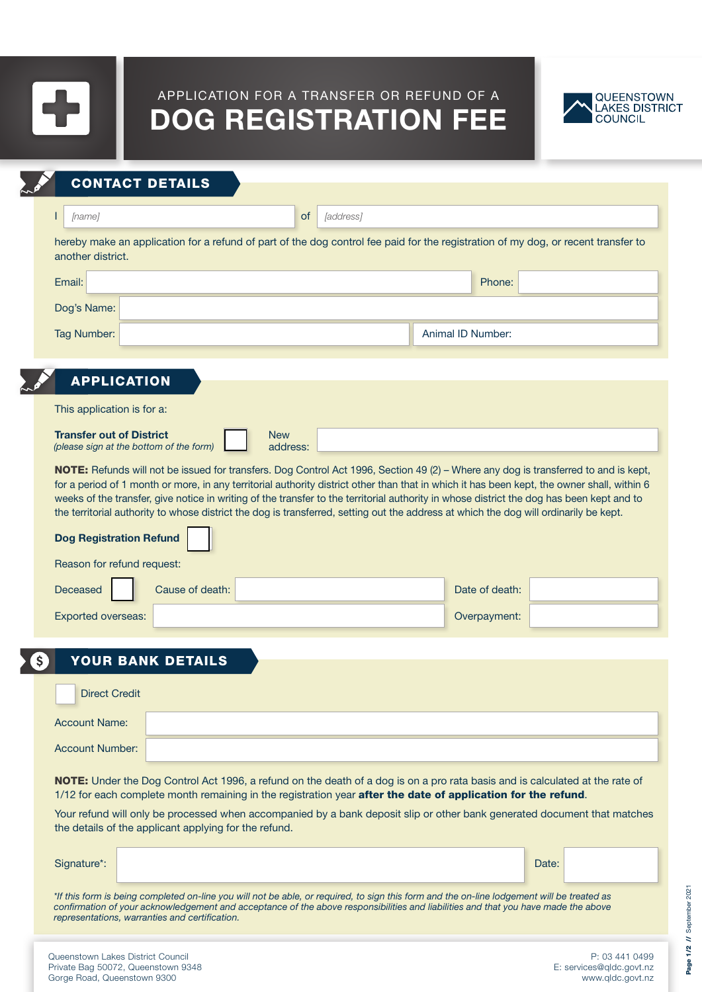

## APPLICATION FOR A TRANSFER OR REFUND OF A DOG REGISTRATION FEE



| <b>CONTACT DETAILS</b>                                        |                                                                                                                                                                                                                                                                                    |                        |                   |  |
|---------------------------------------------------------------|------------------------------------------------------------------------------------------------------------------------------------------------------------------------------------------------------------------------------------------------------------------------------------|------------------------|-------------------|--|
| [name]                                                        |                                                                                                                                                                                                                                                                                    | <b>of</b><br>[address] |                   |  |
| another district.                                             | hereby make an application for a refund of part of the dog control fee paid for the registration of my dog, or recent transfer to                                                                                                                                                  |                        |                   |  |
| Email:                                                        |                                                                                                                                                                                                                                                                                    |                        | Phone:            |  |
| Dog's Name:                                                   |                                                                                                                                                                                                                                                                                    |                        |                   |  |
| Tag Number:                                                   |                                                                                                                                                                                                                                                                                    |                        | Animal ID Number: |  |
|                                                               |                                                                                                                                                                                                                                                                                    |                        |                   |  |
| <b>APPLICATION</b>                                            |                                                                                                                                                                                                                                                                                    |                        |                   |  |
| This application is for a:<br><b>Transfer out of District</b> | <b>New</b>                                                                                                                                                                                                                                                                         |                        |                   |  |
| (please sign at the bottom of the form)                       |                                                                                                                                                                                                                                                                                    | address:               |                   |  |
| <b>Dog Registration Refund</b><br>Reason for refund request:  | weeks of the transfer, give notice in writing of the transfer to the territorial authority in whose district the dog has been kept and to<br>the territorial authority to whose district the dog is transferred, setting out the address at which the dog will ordinarily be kept. |                        |                   |  |
| Deceased                                                      | Cause of death:                                                                                                                                                                                                                                                                    |                        | Date of death:    |  |
| Exported overseas:                                            |                                                                                                                                                                                                                                                                                    |                        | Overpayment:      |  |
|                                                               | <b>YOUR BANK DETAILS</b>                                                                                                                                                                                                                                                           |                        |                   |  |
| <b>Direct Credit</b>                                          |                                                                                                                                                                                                                                                                                    |                        |                   |  |
| <b>Account Name:</b>                                          |                                                                                                                                                                                                                                                                                    |                        |                   |  |
| <b>Account Number:</b>                                        |                                                                                                                                                                                                                                                                                    |                        |                   |  |
|                                                               | NOTE: Under the Dog Control Act 1996, a refund on the death of a dog is on a pro rata basis and is calculated at the rate of<br>1/12 for each complete month remaining in the registration year after the date of application for the refund.                                      |                        |                   |  |
|                                                               | Your refund will only be processed when accompanied by a bank deposit slip or other bank generated document that matches<br>the details of the applicant applying for the refund.                                                                                                  |                        |                   |  |
|                                                               |                                                                                                                                                                                                                                                                                    |                        |                   |  |

*\*If this form is being completed on-line you will not be able, or required, to sign this form and the on-line lodgement will be treated as confirmation of your acknowledgement and acceptance of the above responsibilities and liabilities and that you have made the above representations, warranties and certification.*